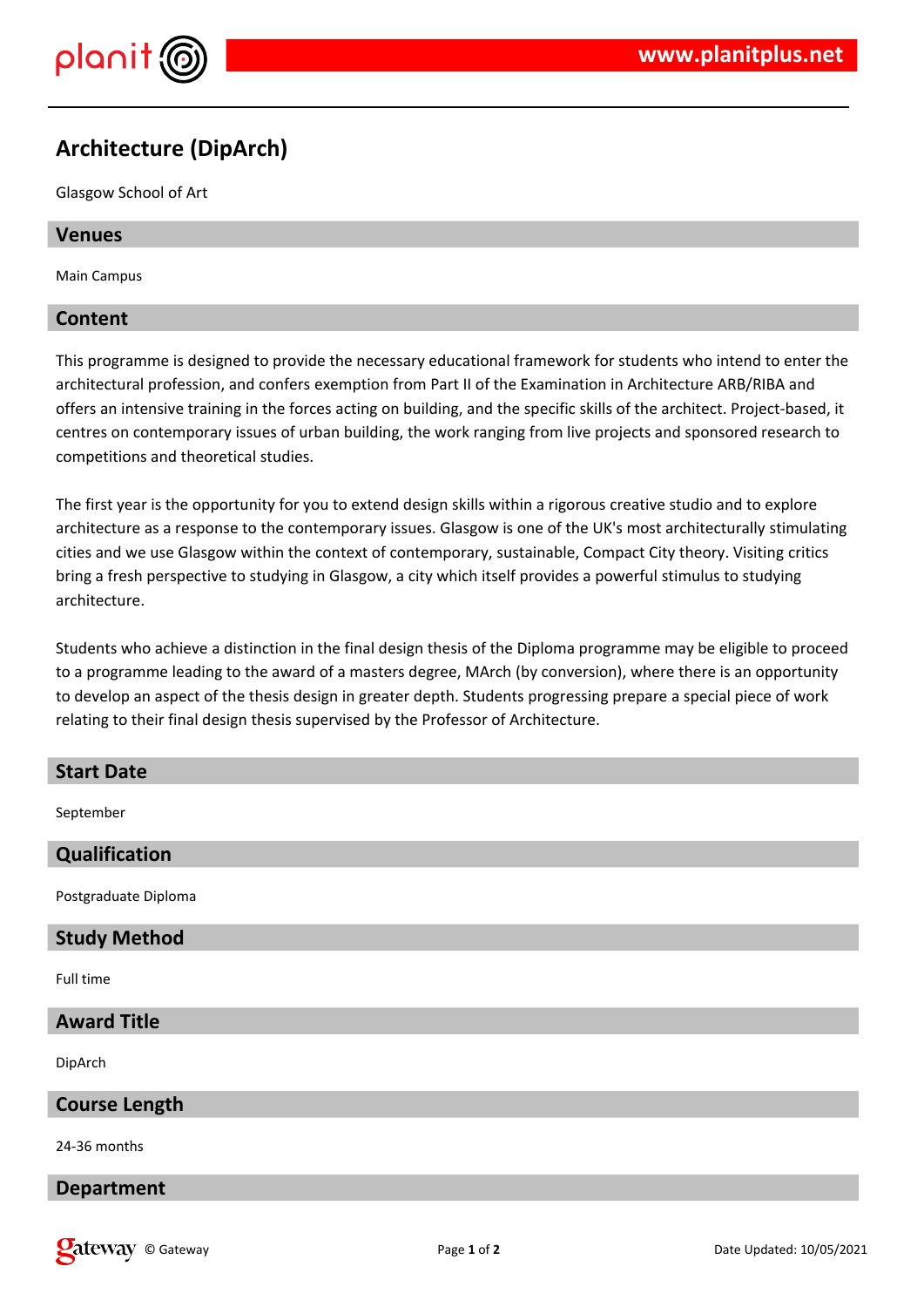

# **Architecture (DipArch)**

Glasgow School of Art

#### **Venues**

Main Campus

#### **Content**

This programme is designed to provide the necessary educational framework for students who intend to enter the architectural profession, and confers exemption from Part II of the Examination in Architecture ARB/RIBA and offers an intensive training in the forces acting on building, and the specific skills of the architect. Project-based, it centres on contemporary issues of urban building, the work ranging from live projects and sponsored research to competitions and theoretical studies.

The first year is the opportunity for you to extend design skills within a rigorous creative studio and to explore architecture as a response to the contemporary issues. Glasgow is one of the UK's most architecturally stimulating cities and we use Glasgow within the context of contemporary, sustainable, Compact City theory. Visiting critics bring a fresh perspective to studying in Glasgow, a city which itself provides a powerful stimulus to studying architecture.

Students who achieve a distinction in the final design thesis of the Diploma programme may be eligible to proceed to a programme leading to the award of a masters degree, MArch (by conversion), where there is an opportunity to develop an aspect of the thesis design in greater depth. Students progressing prepare a special piece of work relating to their final design thesis supervised by the Professor of Architecture.

## **Start Date**

September

### **Qualification**

Postgraduate Diploma

### **Study Method**

Full time

### **Award Title**

DipArch

### **Course Length**

24-36 months

### **Department**